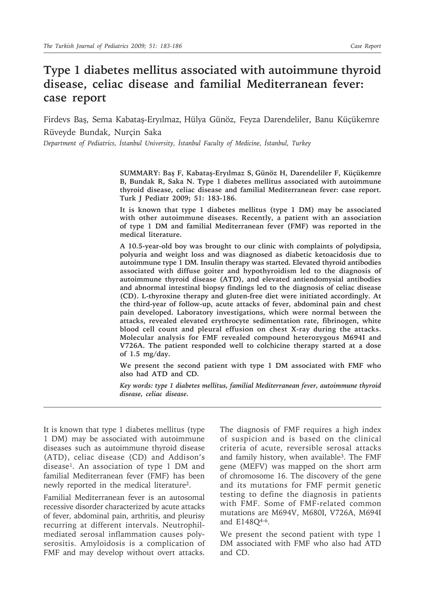## **Type 1 diabetes mellitus associated with autoimmune thyroid disease, celiac disease and familial Mediterranean fever: case report**

Firdevs Baş, Sema Kabataş-Eryılmaz, Hülya Günöz, Feyza Darendeliler, Banu Küçükemre Rüveyde Bundak, Nurçin Saka

*Department of Pediatrics, İstanbul University, İstanbul Faculty of Medicine, İstanbul, Turkey*

**SUMMARY: Baş F, Kabataş-Eryılmaz S, Günöz H, Darendeliler F, Küçükemre B, Bundak R, Saka N. Type 1 diabetes mellitus associated with autoimmune thyroid disease, celiac disease and familial Mediterranean fever: case report. Turk J Pediatr 2009; 51: 183-186.**

**It is known that type 1 diabetes mellitus (type 1 DM) may be associated with other autoimmune diseases. Recently, a patient with an association of type 1 DM and familial Mediterranean fever (FMF) was reported in the medical literature.**

**A 10.5-year-old boy was brought to our clinic with complaints of polydipsia, polyuria and weight loss and was diagnosed as diabetic ketoacidosis due to autoimmune type 1 DM. Insulin therapy was started. Elevated thyroid antibodies associated with diffuse goiter and hypothyroidism led to the diagnosis of autoimmune thyroid disease (ATD), and elevated antiendomysial antibodies and abnormal intestinal biopsy findings led to the diagnosis of celiac disease (CD). L-thyroxine therapy and gluten-free diet were initiated accordingly. At the third-year of follow-up, acute attacks of fever, abdominal pain and chest pain developed. Laboratory investigations, which were normal between the attacks, revealed elevated erythrocyte sedimentation rate, fibrinogen, white blood cell count and pleural effusion on chest X-ray during the attacks. Molecular analysis for FMF revealed compound heterozygous M694I and V726A. The patient responded well to colchicine therapy started at a dose of 1.5 mg/day.**

**We present the second patient with type 1 DM associated with FMF who also had ATD and CD.**

*Key words: type 1 diabetes mellitus, familial Mediterranean fever, autoimmune thyroid disease, celiac disease.*

It is known that type 1 diabetes mellitus (type 1 DM) may be associated with autoimmune diseases such as autoimmune thyroid disease (ATD), celiac disease (CD) and Addison's disease1. An association of type 1 DM and familial Mediterranean fever (FMF) has been newly reported in the medical literature<sup>2</sup>.

Familial Mediterranean fever is an autosomal recessive disorder characterized by acute attacks of fever, abdominal pain, arthritis, and pleurisy recurring at different intervals. Neutrophilmediated serosal inflammation causes polyserositis. Amyloidosis is a complication of FMF and may develop without overt attacks.

The diagnosis of FMF requires a high index of suspicion and is based on the clinical criteria of acute, reversible serosal attacks and family history, when available<sup>3</sup>. The FMF gene (MEFV) was mapped on the short arm of chromosome 16. The discovery of the gene and its mutations for FMF permit genetic testing to define the diagnosis in patients with FMF. Some of FMF-related common mutations are M694V, M680I, V726A, M694I and E148Q4-6.

We present the second patient with type 1 DM associated with FMF who also had ATD and CD.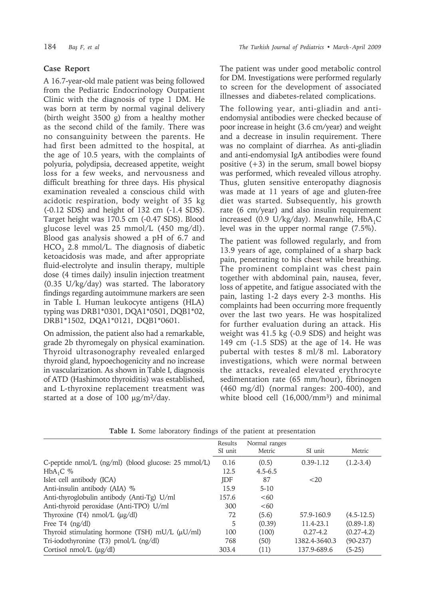## **Case Report**

A 16.7-year-old male patient was being followed from the Pediatric Endocrinology Outpatient Clinic with the diagnosis of type 1 DM. He was born at term by normal vaginal delivery (birth weight 3500 g) from a healthy mother as the second child of the family. There was no consanguinity between the parents. He had first been admitted to the hospital, at the age of 10.5 years, with the complaints of polyuria, polydipsia, decreased appetite, weight loss for a few weeks, and nervousness and difficult breathing for three days. His physical examination revealed a conscious child with acidotic respiration, body weight of 35 kg (-0.12 SDS) and height of 132 cm (-1.4 SDS). Target height was 170.5 cm (-0.47 SDS). Blood glucose level was 25 mmol/L (450 mg/dl). Blood gas analysis showed a pH of 6.7 and  $HCO<sub>3</sub>$  2.8 mmol/L. The diagnosis of diabetic ketoacidosis was made, and after appropriate fluid-electrolyte and insulin therapy, multiple dose (4 times daily) insulin injection treatment (0.35 U/kg/day) was started. The laboratory findings regarding autoimmune markers are seen in Table I. Human leukocyte antigens (HLA) typing was DRB1\*0301, DQA1\*0501, DQB1\*02, DRB1\*1502, DQA1\*0121, DQB1\*0601.

On admission, the patient also had a remarkable, grade 2b thyromegaly on physical examination. Thyroid ultrasonography revealed enlarged thyroid gland, hypoechogenicity and no increase in vascularization. As shown in Table I, diagnosis of ATD (Hashimoto thyroiditis) was established, and L-thyroxine replacement treatment was started at a dose of  $100 \mu g/m^2/day$ .

The patient was under good metabolic control for DM. Investigations were performed regularly to screen for the development of associated illnesses and diabetes-related complications.

The following year, anti-gliadin and antiendomysial antibodies were checked because of poor increase in height (3.6 cm/year) and weight and a decrease in insulin requirement. There was no complaint of diarrhea. As anti-gliadin and anti-endomysial IgA antibodies were found positive  $(+3)$  in the serum, small bowel biopsy was performed, which revealed villous atrophy. Thus, gluten sensitive enteropathy diagnosis was made at 11 years of age and gluten-free diet was started. Subsequently, his growth rate (6 cm/year) and also insulin requirement increased (0.9 U/kg/day). Meanwhile,  $HbA_1C$ level was in the upper normal range (7.5%).

The patient was followed regularly, and from 13.9 years of age, complained of a sharp back pain, penetrating to his chest while breathing. The prominent complaint was chest pain together with abdominal pain, nausea, fever, loss of appetite, and fatigue associated with the pain, lasting 1-2 days every 2-3 months. His complaints had been occurring more frequently over the last two years. He was hospitalized for further evaluation during an attack. His weight was 41.5 kg (-0.9 SDS) and height was 149 cm (-1.5 SDS) at the age of 14. He was pubertal with testes 8 ml/8 ml. Laboratory investigations, which were normal between the attacks, revealed elevated erythrocyte sedimentation rate (65 mm/hour), fibrinogen (460 mg/dl) (normal ranges: 200-400), and white blood cell (16,000/mm<sup>3</sup>) and minimal

|                                                        | Results<br>SI unit | Normal ranges<br>Metric | SI unit       | Metric        |
|--------------------------------------------------------|--------------------|-------------------------|---------------|---------------|
|                                                        |                    |                         |               |               |
| C-peptide nmol/L (ng/ml) (blood glucose: 25 mmol/L)    | 0.16               | (0.5)                   | $0.39 - 1.12$ | $(1.2 - 3.4)$ |
| $HbA_1C$ %                                             | 12.5               | $4.5 - 6.5$             |               |               |
| Islet cell antibody (ICA)                              | <b>IDF</b>         | 87                      | ${<}20$       |               |
| Anti-insulin antibody (AIA) %                          | 15.9               | $5-10$                  |               |               |
| Anti-thyroglobulin antibody (Anti-Tg) U/ml             | 157.6              | <60                     |               |               |
| Anti-thyroid peroxidase (Anti-TPO) U/ml                | 300                | <60                     |               |               |
| Thyroxine $(T4)$ nmol/L $(\mu g/dl)$                   | 72                 | (5.6)                   | 57.9-160.9    | $(4.5-12.5)$  |
| Free T4 $(ng/dl)$                                      | 5                  | (0.39)                  | 11.4-23.1     | $(0.89-1.8)$  |
| Thyroid stimulating hormone (TSH) $mU/L$ ( $\mu$ U/ml) | 100                | (100)                   | $0.27 - 4.2$  | $(0.27-4.2)$  |
| Tri-iodothyronine (T3) pmol/L (ng/dl)                  | 768                | (50)                    | 1382.4-3640.3 | $(90-237)$    |
| Cortisol $nmol/L$ ( $\mu g/dl$ )                       | 303.4              | (11)                    | 137.9-689.6   | $(5-25)$      |

**Table I.** Some laboratory findings of the patient at presentation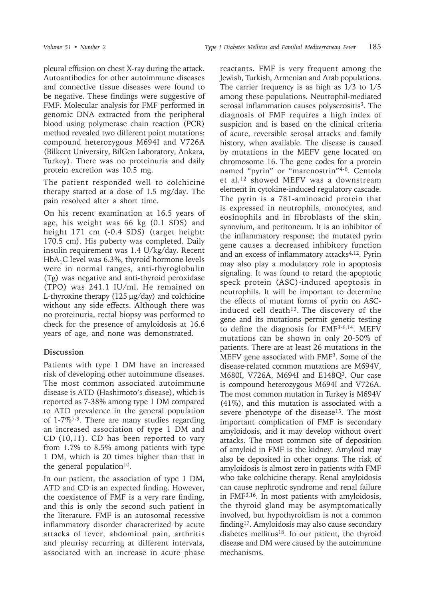pleural effusion on chest X-ray during the attack. Autoantibodies for other autoimmune diseases and connective tissue diseases were found to be negative. These findings were suggestive of FMF. Molecular analysis for FMF performed in genomic DNA extracted from the peripheral blood using polymerase chain reaction (PCR) method revealed two different point mutations: compound heterozygous M694I and V726A (Bilkent University, BilGen Laboratory, Ankara, Turkey). There was no proteinuria and daily protein excretion was 10.5 mg.

The patient responded well to colchicine therapy started at a dose of 1.5 mg/day. The pain resolved after a short time.

On his recent examination at 16.5 years of age, his weight was 66 kg (0.1 SDS) and height 171 cm (-0.4 SDS) (target height: 170.5 cm). His puberty was completed. Daily insulin requirement was 1.4 U/kg/day. Recent  $HbA_1C$  level was 6.3%, thyroid hormone levels were in normal ranges, anti-thyroglobulin (Tg) was negative and anti-thyroid peroxidase (TPO) was 241.1 IU/ml. He remained on L-thyroxine therapy (125 µg/day) and colchicine without any side effects. Although there was no proteinuria, rectal biopsy was performed to check for the presence of amyloidosis at 16.6 years of age, and none was demonstrated.

## **Discussion**

Patients with type 1 DM have an increased risk of developing other autoimmune diseases. The most common associated autoimmune disease is ATD (Hashimoto's disease), which is reported as 7-38% among type 1 DM compared to ATD prevalence in the general population of 1-7%7-9. There are many studies regarding an increased association of type 1 DM and CD (10,11). CD has been reported to vary from 1.7% to 8.5% among patients with type 1 DM, which is 20 times higher than that in the general population $10$ .

In our patient, the association of type 1 DM, ATD and CD is an expected finding. However, the coexistence of FMF is a very rare finding, and this is only the second such patient in the literature. FMF is an autosomal recessive inflammatory disorder characterized by acute attacks of fever, abdominal pain, arthritis and pleurisy recurring at different intervals, associated with an increase in acute phase reactants. FMF is very frequent among the Jewish, Turkish, Armenian and Arab populations. The carrier frequency is as high as 1/3 to 1/5 among these populations. Neutrophil-mediated serosal inflammation causes polyserositis<sup>3</sup>. The diagnosis of FMF requires a high index of suspicion and is based on the clinical criteria of acute, reversible serosal attacks and family history, when available. The disease is caused by mutations in the MEFV gene located on chromosome 16. The gene codes for a protein named "pyrin" or "marenostrin"4-6. Centola et al.12 showed MEFV was a downstream element in cytokine-induced regulatory cascade. The pyrin is a 781-aminoacid protein that is expressed in neutrophils, monocytes, and eosinophils and in fibroblasts of the skin, synovium, and peritoneum. It is an inhibitor of the inflammatory response; the mutated pyrin gene causes a decreased inhibitory function and an excess of inflammatory attacks4,12. Pyrin may also play a modulatory role in apoptosis signaling. It was found to retard the apoptotic speck protein (ASC)-induced apoptosis in neutrophils. It will be important to determine the effects of mutant forms of pyrin on ASCinduced cell death $13$ . The discovery of the gene and its mutations permit genetic testing to define the diagnosis for FMF3-6,14. MEFV mutations can be shown in only 20-50% of patients. There are at least 26 mutations in the MEFV gene associated with FMF3. Some of the disease-related common mutations are M694V, M680I, V726A, M694I and E148Q3. Our case is compound heterozygous M694I and V726A. The most common mutation in Turkey is M694V (41%), and this mutation is associated with a severe phenotype of the disease<sup>15</sup>. The most important complication of FMF is secondary amyloidosis, and it may develop without overt attacks. The most common site of deposition of amyloid in FMF is the kidney. Amyloid may also be deposited in other organs. The risk of amyloidosis is almost zero in patients with FMF who take colchicine therapy. Renal amyloidosis can cause nephrotic syndrome and renal failure in FMF3,16. In most patients with amyloidosis, the thyroid gland may be asymptomatically involved, but hypothyroidism is not a common finding17. Amyloidosis may also cause secondary diabetes mellitus<sup>18</sup>. In our patient, the thyroid disease and DM were caused by the autoimmune mechanisms.